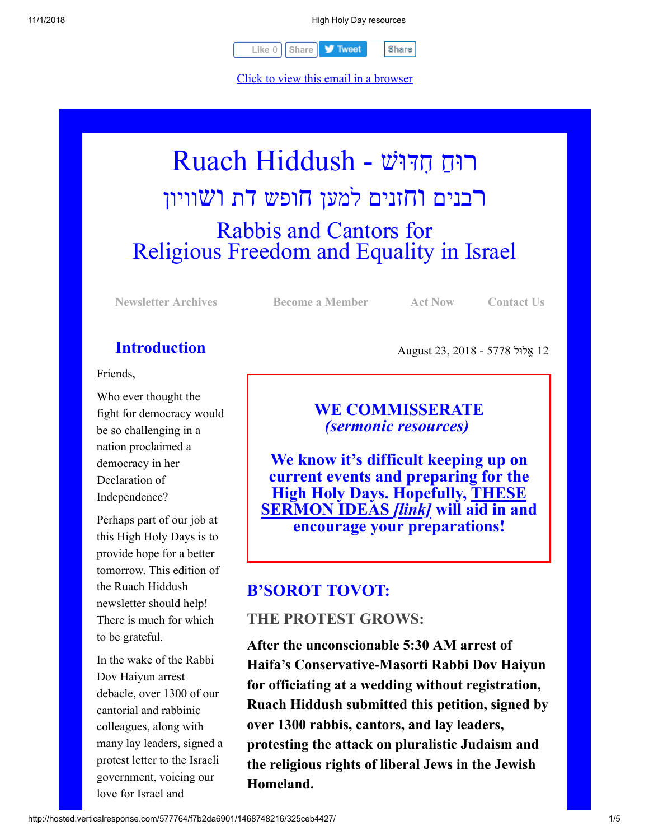11/1/2018 High Holy Day resources

**Like** 0 | [Share](javascript:void(0);) **Share Share** 

[Click to view this email in a browser](http://hosted.verticalresponse.com/577764/f7b2da6901/TEST/TEST/)

# רוּחַ חִדּוּשׁ - Ruach Hiddush רבנים וחזנים למען חופש דת ושוויון Rabbis and Cantors for Religious Freedom and Equality in Israel

**[Newsletter Archives](http://cts.vresp.com/c/?FreedomofReligionfor/f7b2da6901/325ceb4427/b8943eb3d3) [Become a Member](http://cts.vresp.com/c/?FreedomofReligionfor/f7b2da6901/325ceb4427/b7325bfa1d) [Act Now](http://cts.vresp.com/c/?FreedomofReligionfor/f7b2da6901/325ceb4427/9e2d62c1c1) [Contact Us](http://cts.vresp.com/c/?FreedomofReligionfor/f7b2da6901/325ceb4427/9b265a88ec)**

### **Introduction**

Friends,

Who ever thought the fight for democracy would be so challenging in a nation proclaimed a democracy in her Declaration of Independence?

Perhaps part of our job at this High Holy Days is to provide hope for a better tomorrow. This edition of the Ruach Hiddush newsletter should help! There is much for which to be grateful.

In the wake of the Rabbi Dov Haiyun arrest debacle, over 1300 of our cantorial and rabbinic colleagues, along with many lay leaders, signed a protest letter to the Israeli government, voicing our love for Israel and

12 ֱאלוּל 5778 - 2018 23, August

**WE COMMISSERATE** *(sermonic resources)*

**We know it's difficult keeping up on current events and preparing for the [High Holy Days. Hopefully, THESE](http://cts.vresp.com/c/?FreedomofReligionfor/f7b2da6901/325ceb4427/6e512cef0f) SERMON IDEAS** *[link]* **will aid in and encourage your preparations!**

### **B'SOROT TOVOT:**

### **THE PROTEST GROWS:**

**After the unconscionable 5:30 AM arrest of Haifa's Conservative-Masorti Rabbi Dov Haiyun for officiating at a wedding without registration, Ruach Hiddush submitted this petition, signed by over 1300 rabbis, cantors, and lay leaders, protesting the attack on pluralistic Judaism and the religious rights of liberal Jews in the Jewish Homeland.**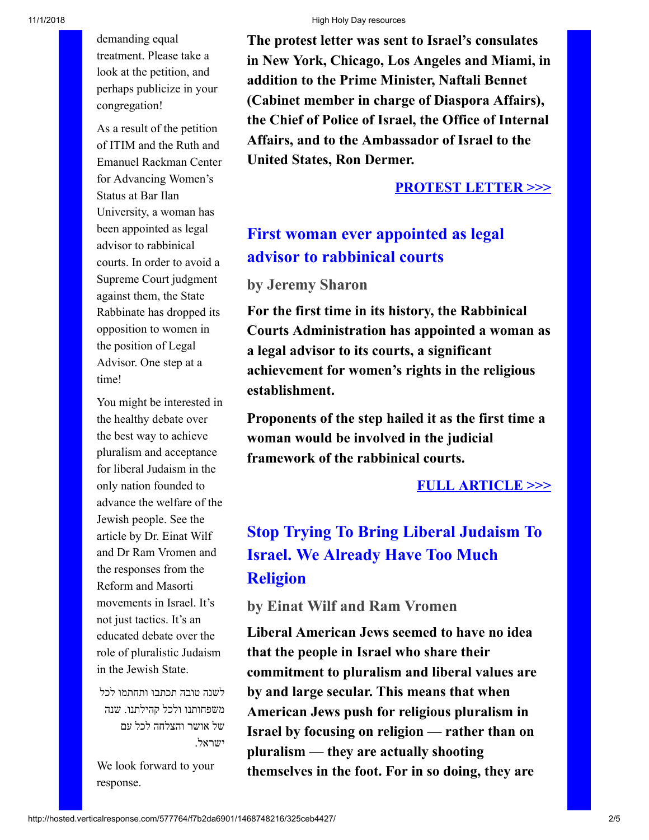demanding equal treatment. Please take a look at the petition, and perhaps publicize in your congregation!

As a result of the petition of ITIM and the Ruth and Emanuel Rackman Center for Advancing Women's Status at Bar Ilan University, a woman has been appointed as legal advisor to rabbinical courts. In order to avoid a Supreme Court judgment against them, the State Rabbinate has dropped its opposition to women in the position of Legal Advisor. One step at a time!

You might be interested in the healthy debate over the best way to achieve pluralism and acceptance for liberal Judaism in the only nation founded to advance the welfare of the Jewish people. See the article by Dr. Einat Wilf and Dr Ram Vromen and the responses from the Reform and Masorti movements in Israel. It's not just tactics. It's an educated debate over the role of pluralistic Judaism in the Jewish State.

לשנה טובה תכתבו ותחתמו לכל משפחותנו ולכל קהילתנו. שנה של אושר והצלחה לכל עם ישראל.

We look forward to your response.

**The protest letter was sent to Israel's consulates in New York, Chicago, Los Angeles and Miami, in addition to the Prime Minister, Naftali Bennet (Cabinet member in charge of Diaspora Affairs), the Chief of Police of Israel, the Office of Internal Affairs, and to the Ambassador of Israel to the United States, Ron Dermer.**

#### **[PROTEST LETTER >>>](http://cts.vresp.com/c/?FreedomofReligionfor/f7b2da6901/325ceb4427/11413f6017)**

### **First woman ever appointed as legal advisor to rabbinical courts**

#### **by Jeremy Sharon**

**For the first time in its history, the Rabbinical Courts Administration has appointed a woman as a legal advisor to its courts, a significant achievement for women's rights in the religious establishment.**

**Proponents of the step hailed it as the first time a woman would be involved in the judicial framework of the rabbinical courts.**

#### **[FULL ARTICLE >>>](http://cts.vresp.com/c/?FreedomofReligionfor/f7b2da6901/325ceb4427/82d993c89f)**

# **Stop Trying To Bring Liberal Judaism To Israel. We Already Have Too Much Religion**

### **by Einat Wilf and Ram Vromen**

**Liberal American Jews seemed to have no idea that the people in Israel who share their commitment to pluralism and liberal values are by and large secular. This means that when American Jews push for religious pluralism in Israel by focusing on religion — rather than on pluralism — they are actually shooting themselves in the foot. For in so doing, they are**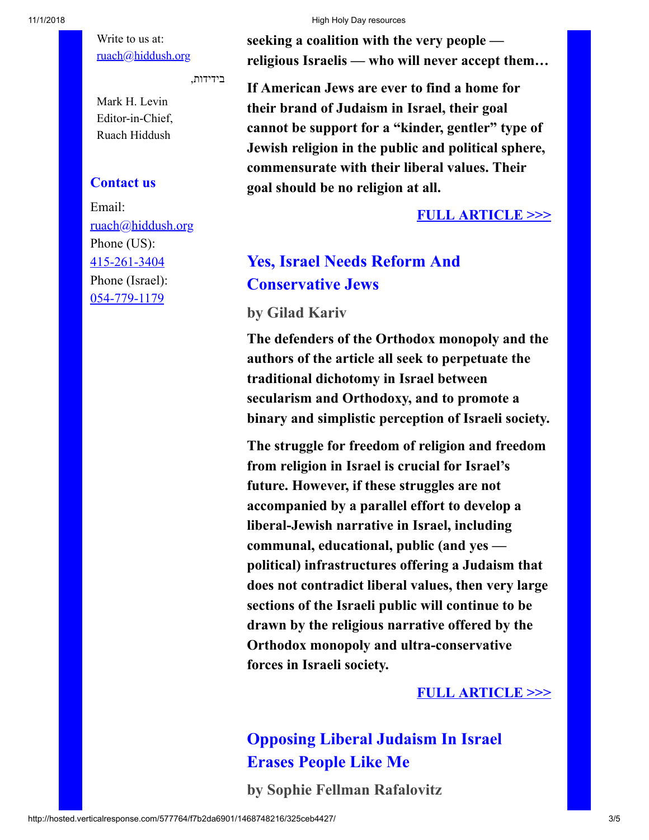Write to us at: [ruach@hiddush.org](http://cts.vresp.com/c/?FreedomofReligionfor/f7b2da6901/325ceb4427/fbce3fc403)

בידידות,

Mark H. Levin Editor-in-Chief, Ruach Hiddush

#### **Contact us**

Email: [ruach@hiddush.org](http://cts.vresp.com/c/?FreedomofReligionfor/f7b2da6901/325ceb4427/ad658e273d) Phone (US): [415-261-3404](http://cts.vresp.com/c/?FreedomofReligionfor/f7b2da6901/325ceb4427/87e1d66f91) Phone (Israel): [054-779-1179](http://cts.vresp.com/c/?FreedomofReligionfor/f7b2da6901/325ceb4427/90e1f21d01)

#### 11/1/2018 High Holy Day resources

**seeking a coalition with the very people religious Israelis — who will never accept them…**

**If American Jews are ever to find a home for their brand of Judaism in Israel, their goal cannot be support for a "kinder, gentler" type of Jewish religion in the public and political sphere, commensurate with their liberal values. Their goal should be no religion at all.**

#### **[FULL ARTICLE >>>](http://cts.vresp.com/c/?FreedomofReligionfor/f7b2da6901/325ceb4427/74376bf83e)**

# **Yes, Israel Needs Reform And Conservative Jews**

**by Gilad Kariv**

**The defenders of the Orthodox monopoly and the authors of the article all seek to perpetuate the traditional dichotomy in Israel between secularism and Orthodoxy, and to promote a binary and simplistic perception of Israeli society.**

**The struggle for freedom of religion and freedom from religion in Israel is crucial for Israel's future. However, if these struggles are not accompanied by a parallel effort to develop a liberal-Jewish narrative in Israel, including communal, educational, public (and yes political) infrastructures offering a Judaism that does not contradict liberal values, then very large sections of the Israeli public will continue to be drawn by the religious narrative offered by the Orthodox monopoly and ultra-conservative forces in Israeli society.**

#### **[FULL ARTICLE >>>](http://cts.vresp.com/c/?FreedomofReligionfor/f7b2da6901/325ceb4427/aa682237f5)**

### **Opposing Liberal Judaism In Israel Erases People Like Me**

**by Sophie Fellman Rafalovitz**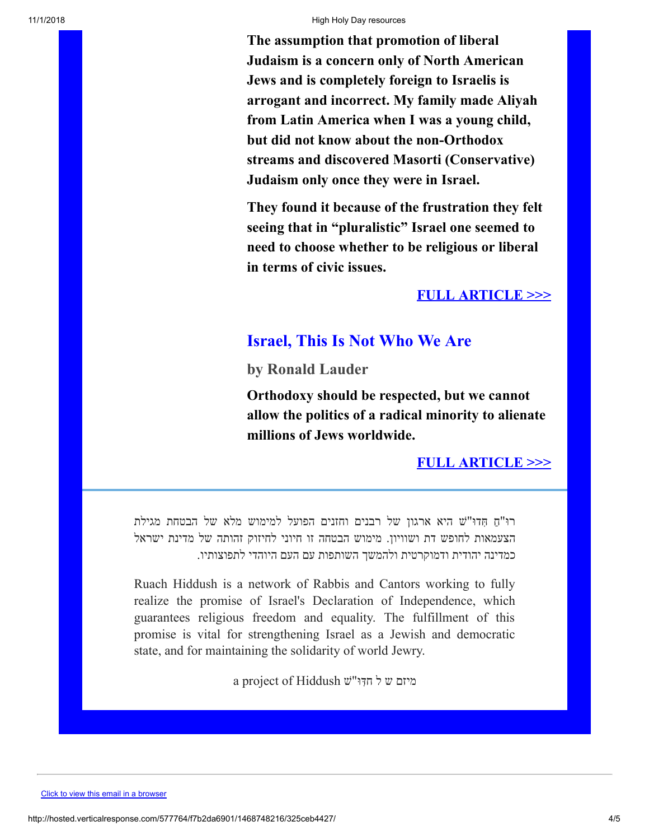#### 11/1/2018 High Holy Day resources

**The assumption that promotion of liberal Judaism is a concern only of North American Jews and is completely foreign to Israelis is arrogant and incorrect. My family made Aliyah from Latin America when I was a young child, but did not know about the non-Orthodox streams and discovered Masorti (Conservative) Judaism only once they were in Israel.**

**They found it because of the frustration they felt seeing that in "pluralistic" Israel one seemed to need to choose whether to be religious or liberal in terms of civic issues.**

#### **[FULL ARTICLE >>>](http://cts.vresp.com/c/?FreedomofReligionfor/f7b2da6901/325ceb4427/8b525a5ede)**

### **Israel, This Is Not Who We Are**

**by Ronald Lauder**

**Orthodoxy should be respected, but we cannot allow the politics of a radical minority to alienate millions of Jews worldwide.**

#### **[FULL ARTICLE >>>](http://cts.vresp.com/c/?FreedomofReligionfor/f7b2da6901/325ceb4427/babcd952e7)**

ַ רוּ"ח ִ ּ חדוּ"שׁ היא ארגון של רבנים וחזנים הפועל למימוש מלא של הבטחת מגילת הצעמאות לחופש דת ושוויון. מימוש הבטחה זו חיוני לחיזוק זהותה של מדינת ישראל כמדינה יהודית ודמוקרטית ולהמשך השותפות עם העם היוהדי לתפוצותיו.

Ruach Hiddush is a network of Rabbis and Cantors working to fully realize the promise of Israel's Declaration of Independence, which guarantees religious freedom and equality. The fulfillment of this promise is vital for strengthening Israel as a Jewish and democratic state, and for maintaining the solidarity of world Jewry.

a project of Hiddush מיזם ש ל חדִּוּ"ש

[Click to view this email in a browser](http://hosted.verticalresponse.com/577764/f7b2da6901/TEST/TEST/)